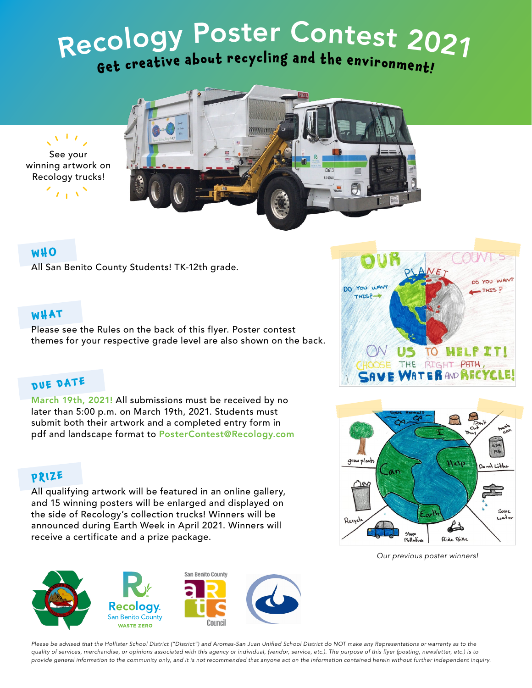# Recology Poster Contest 2021 Get creative about recycling and the environment!





### **WHO**

All San Benito County Students! TK-12th grade.

### **WHAT**

Please see the Rules on the back of this flyer. Poster contest themes for your respective grade level are also shown on the back.

# **DUE DATE**

March 19th, 2021! All submissions must be received by no later than 5:00 p.m. on March 19th, 2021. Students must submit both their artwork and a completed entry form in pdf and landscape format to PosterContest@Recology.com

### **PRIZE**

All qualifying artwork will be featured in an online gallery, and 15 winning posters will be enlarged and displayed on the side of Recology's collection trucks! Winners will be announced during Earth Week in April 2021. Winners will receive a certificate and a prize package.







*Our previous poster winners!*

*Please be advised that the Hollister School District ("District") and Aromas-San Juan Unified School District do NOT make any Representations or warranty as to the quality of services, merchandise, or opinions associated with this agency or individual, (vendor, service, etc.). The purpose of this flyer (posting, newsletter, etc.) is to provide general information to the community only, and it is not recommended that anyone act on the information contained herein without further independent inquiry.*